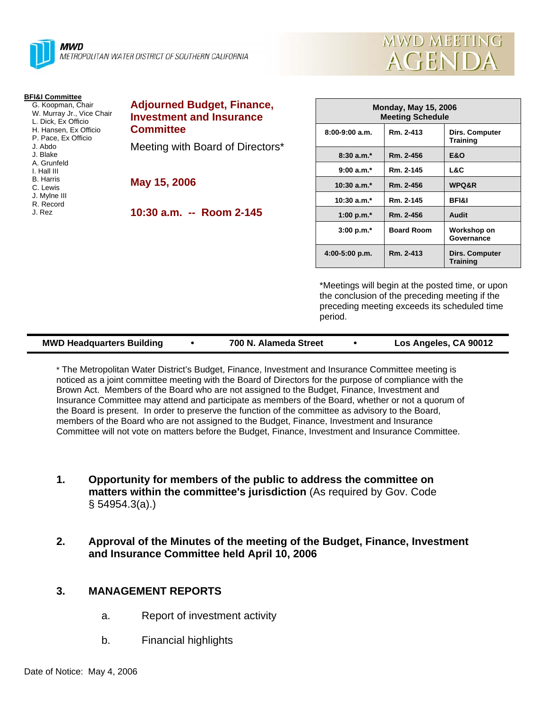



**Dirs. Computer Training 8:30 a.m.\* Rm. 2-456 E&O 9:00 a.m.\* Rm. 2-145 L&C WPQ&R** 

**Governance Dirs. Computer Training**

| <b>Adjourned Budget, Finance,</b><br><b>Investment and Insurance</b><br><b>Committee</b><br>Meeting with Board of Directors* | <b>Monday, May 15, 2006</b><br><b>Meeting Schedule</b> |                   |                                  |
|------------------------------------------------------------------------------------------------------------------------------|--------------------------------------------------------|-------------------|----------------------------------|
|                                                                                                                              | $8:00-9:00$ a.m.                                       | Rm. 2-413         | Dirs. Compute<br><b>Training</b> |
|                                                                                                                              | $8:30 a.m.*$                                           | Rm. 2-456         | <b>E&amp;O</b>                   |
|                                                                                                                              | $9:00 a.m.*$                                           | Rm. 2-145         | L&C                              |
| May 15, 2006                                                                                                                 | $10:30$ a.m. <sup>*</sup>                              | Rm. 2-456         | WPQ&R                            |
|                                                                                                                              | $10:30$ a.m. $*$                                       | Rm. 2-145         | <b>BFI&amp;I</b>                 |
| 10:30 a.m. -- Room 2-145                                                                                                     | 1:00 p.m. $*$                                          | Rm. 2-456         | Audit                            |
|                                                                                                                              | $3:00 p.m.*$                                           | <b>Board Room</b> | Workshop on<br>Governance        |
|                                                                                                                              | $4:00-5:00$ p.m.                                       | Rm. 2-413         | Dirs. Compute<br><b>Training</b> |
|                                                                                                                              |                                                        |                   |                                  |

\*Meetings will begin at the posted time, or upon the conclusion of the preceding meeting if the preceding meeting exceeds its scheduled time period.

| <b>MWD Headquarters Building</b> |  | 700 N. Alameda Street |  | Los Angeles, CA 90012 |
|----------------------------------|--|-----------------------|--|-----------------------|
|----------------------------------|--|-----------------------|--|-----------------------|

\* The Metropolitan Water District's Budget, Finance, Investment and Insurance Committee meeting is noticed as a joint committee meeting with the Board of Directors for the purpose of compliance with the Brown Act. Members of the Board who are not assigned to the Budget, Finance, Investment and Insurance Committee may attend and participate as members of the Board, whether or not a quorum of the Board is present. In order to preserve the function of the committee as advisory to the Board, members of the Board who are not assigned to the Budget, Finance, Investment and Insurance Committee will not vote on matters before the Budget, Finance, Investment and Insurance Committee.

- **1. Opportunity for members of the public to address the committee on matters within the committee's jurisdiction** (As required by Gov. Code § 54954.3(a).)
- **2. Approval of the Minutes of the meeting of the Budget, Finance, Investment and Insurance Committee held April 10, 2006**

# **3. MANAGEMENT REPORTS**

- a. Report of investment activity
- b. Financial highlights